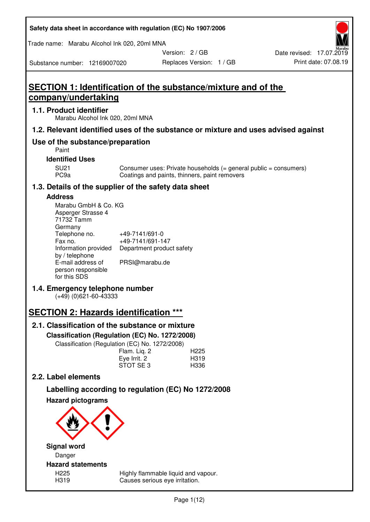| Safety data sheet in accordance with regulation (EC) No 1907/2006 |  |
|-------------------------------------------------------------------|--|
|-------------------------------------------------------------------|--|

Trade name: Marabu Alcohol Ink 020, 20ml MNA

Version: 2 / GB

Substance number: 12169007020

# **SECTION 1: Identification of the substance/mixture and of the company/undertaking**

# **1.1. Product identifier**

Marabu Alcohol Ink 020, 20ml MNA

# **1.2. Relevant identified uses of the substance or mixture and uses advised against**

# **Use of the substance/preparation**

Paint

**Identified Uses** 

SU21 Consumer uses: Private households (= general public = consumers)<br>PC9a Coatings and paints, thinners, paint removers Coatings and paints, thinners, paint removers

# **1.3. Details of the supplier of the safety data sheet**

# **Address**

| Marabu GmbH & Co. KG |                           |
|----------------------|---------------------------|
| Asperger Strasse 4   |                           |
| 71732 Tamm           |                           |
| Germany              |                           |
| Telephone no.        | +49-7141/691-0            |
| Fax no.              | +49-7141/691-147          |
| Information provided | Department product safety |
| by / telephone       |                           |
| E-mail address of    | PRSI@marabu.de            |
| person responsible   |                           |
| for this SDS         |                           |

# **1.4. Emergency telephone number**

(+49) (0)621-60-43333

# **SECTION 2: Hazards identification \*\*\***

# **2.1. Classification of the substance or mixture**

**Classification (Regulation (EC) No. 1272/2008)** 

Classification (Regulation (EC) No. 1272/2008)

|              | . |                  |
|--------------|---|------------------|
| Flam. Liq. 2 |   | H <sub>225</sub> |
| Eye Irrit. 2 |   | H319             |
| STOT SE3     |   | H336             |
|              |   |                  |

# **2.2. Label elements**

# **Labelling according to regulation (EC) No 1272/2008**



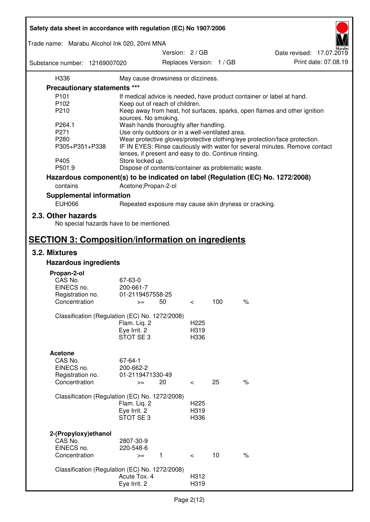| Safety data sheet in accordance with regulation (EC) No 1907/2006 |                                                       |                 |                          |                          |                                                                                 |
|-------------------------------------------------------------------|-------------------------------------------------------|-----------------|--------------------------|--------------------------|---------------------------------------------------------------------------------|
| Trade name: Marabu Alcohol Ink 020, 20ml MNA                      |                                                       |                 |                          |                          |                                                                                 |
|                                                                   |                                                       | Version: 2 / GB |                          |                          | Date revised: 17.07.2019                                                        |
| Substance number: 12169007020                                     |                                                       |                 |                          | Replaces Version: 1 / GB | Print date: 07.08.19                                                            |
| H336                                                              | May cause drowsiness or dizziness.                    |                 |                          |                          |                                                                                 |
| Precautionary statements ***                                      |                                                       |                 |                          |                          |                                                                                 |
| P <sub>101</sub>                                                  |                                                       |                 |                          |                          | If medical advice is needed, have product container or label at hand.           |
| P102                                                              | Keep out of reach of children.                        |                 |                          |                          |                                                                                 |
| P210                                                              |                                                       |                 |                          |                          | Keep away from heat, hot surfaces, sparks, open flames and other ignition       |
|                                                                   | sources. No smoking.                                  |                 |                          |                          |                                                                                 |
| P264.1                                                            | Wash hands thoroughly after handling.                 |                 |                          |                          |                                                                                 |
| P271                                                              | Use only outdoors or in a well-ventilated area.       |                 |                          |                          |                                                                                 |
| P280                                                              |                                                       |                 |                          |                          | Wear protective gloves/protective clothing/eye protection/face protection.      |
| P305+P351+P338                                                    | lenses, if present and easy to do. Continue rinsing.  |                 |                          |                          | IF IN EYES: Rinse cautiously with water for several minutes. Remove contact     |
| P405<br>P501.9                                                    | Store locked up.                                      |                 |                          |                          |                                                                                 |
|                                                                   | Dispose of contents/container as problematic waste.   |                 |                          |                          |                                                                                 |
|                                                                   |                                                       |                 |                          |                          | Hazardous component(s) to be indicated on label (Regulation (EC) No. 1272/2008) |
| contains                                                          | Acetone; Propan-2-ol                                  |                 |                          |                          |                                                                                 |
| <b>Supplemental information</b>                                   |                                                       |                 |                          |                          |                                                                                 |
| <b>EUH066</b>                                                     | Repeated exposure may cause skin dryness or cracking. |                 |                          |                          |                                                                                 |
| 2.3. Other hazards<br>No special hazards have to be mentioned.    |                                                       |                 |                          |                          |                                                                                 |
| <b>SECTION 3: Composition/information on ingredients</b>          |                                                       |                 |                          |                          |                                                                                 |
| 3.2. Mixtures                                                     |                                                       |                 |                          |                          |                                                                                 |
| <b>Hazardous ingredients</b>                                      |                                                       |                 |                          |                          |                                                                                 |
|                                                                   |                                                       |                 |                          |                          |                                                                                 |
| Propan-2-ol                                                       |                                                       |                 |                          |                          |                                                                                 |
| CAS No.                                                           | 67-63-0                                               |                 |                          |                          |                                                                                 |
| EINECS no.                                                        | 200-661-7                                             |                 |                          |                          |                                                                                 |
| Registration no.<br>Concentration                                 | 01-2119457558-25<br>50                                |                 |                          | 100                      | $\%$                                                                            |
|                                                                   | $>=$                                                  |                 | $\,<\,$                  |                          |                                                                                 |
| Classification (Regulation (EC) No. 1272/2008)                    |                                                       |                 |                          |                          |                                                                                 |
|                                                                   | Flam. Liq. 2                                          |                 | H <sub>225</sub>         |                          |                                                                                 |
|                                                                   | Eye Irrit. 2                                          |                 | H319                     |                          |                                                                                 |
|                                                                   | STOT SE3                                              |                 | H336                     |                          |                                                                                 |
| <b>Acetone</b>                                                    |                                                       |                 |                          |                          |                                                                                 |
| CAS No.                                                           | 67-64-1                                               |                 |                          |                          |                                                                                 |
| EINECS no.                                                        | 200-662-2                                             |                 |                          |                          |                                                                                 |
| Registration no.                                                  | 01-2119471330-49                                      |                 |                          |                          |                                                                                 |
| Concentration                                                     | 20<br>$>=$                                            |                 | $\overline{\phantom{0}}$ | 25                       | $\%$                                                                            |
|                                                                   |                                                       |                 |                          |                          |                                                                                 |
| Classification (Regulation (EC) No. 1272/2008)                    | Flam. Liq. 2                                          |                 | H <sub>225</sub>         |                          |                                                                                 |
|                                                                   | Eye Irrit. 2                                          |                 | H319                     |                          |                                                                                 |
|                                                                   | STOT SE3                                              |                 | H336                     |                          |                                                                                 |
|                                                                   |                                                       |                 |                          |                          |                                                                                 |
| 2-(Propyloxy) ethanol                                             |                                                       |                 |                          |                          |                                                                                 |
| CAS No.                                                           | 2807-30-9                                             |                 |                          |                          |                                                                                 |
| EINECS no.                                                        | 220-548-6                                             |                 |                          |                          |                                                                                 |
| Concentration                                                     | $\mathbf{1}$<br>$>=$                                  |                 | $\prec$                  | 10                       | $\%$                                                                            |
| Classification (Regulation (EC) No. 1272/2008)                    |                                                       |                 |                          |                          |                                                                                 |
|                                                                   | Acute Tox. 4                                          |                 | H312                     |                          |                                                                                 |
|                                                                   | Eye Irrit. 2                                          |                 | H319                     |                          |                                                                                 |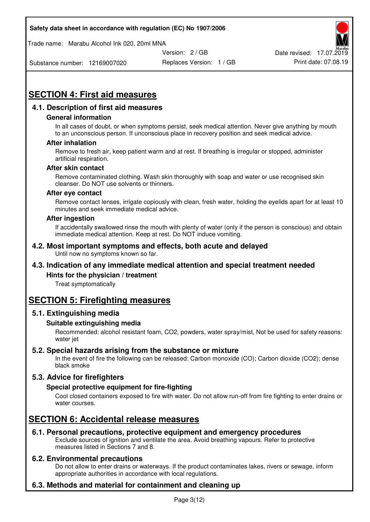Trade name: Marabu Alcohol Ink 020, 20ml MNA



Substance number: 12169007020

Replaces Version: 1 / GB Print date: 07.08.19

# **SECTION 4: First aid measures**

# **4.1. Description of first aid measures**

## **General information**

In all cases of doubt, or when symptoms persist, seek medical attention. Never give anything by mouth to an unconscious person. If unconscious place in recovery position and seek medical advice.

## **After inhalation**

Remove to fresh air, keep patient warm and at rest. If breathing is irregular or stopped, administer artificial respiration.

#### **After skin contact**

Remove contaminated clothing. Wash skin thoroughly with soap and water or use recognised skin cleanser. Do NOT use solvents or thinners.

#### **After eye contact**

Remove contact lenses, irrigate copiously with clean, fresh water, holding the eyelids apart for at least 10 minutes and seek immediate medical advice.

#### **After ingestion**

If accidentally swallowed rinse the mouth with plenty of water (only if the person is conscious) and obtain immediate medical attention. Keep at rest. Do NOT induce vomiting.

#### **4.2. Most important symptoms and effects, both acute and delayed**  Until now no symptoms known so far.

# **4.3. Indication of any immediate medical attention and special treatment needed**

## **Hints for the physician / treatment**

Treat symptomatically

# **SECTION 5: Firefighting measures**

## **5.1. Extinguishing media**

## **Suitable extinguishing media**

Recommended: alcohol resistant foam, CO2, powders, water spray/mist, Not be used for safety reasons: water jet

# **5.2. Special hazards arising from the substance or mixture**

In the event of fire the following can be released: Carbon monoxide (CO); Carbon dioxide (CO2); dense black smoke

# **5.3. Advice for firefighters**

## **Special protective equipment for fire-fighting**

Cool closed containers exposed to fire with water. Do not allow run-off from fire fighting to enter drains or water courses.

# **SECTION 6: Accidental release measures**

# **6.1. Personal precautions, protective equipment and emergency procedures**

Exclude sources of ignition and ventilate the area. Avoid breathing vapours. Refer to protective measures listed in Sections 7 and 8.

## **6.2. Environmental precautions**

Do not allow to enter drains or waterways. If the product contaminates lakes, rivers or sewage, inform appropriate authorities in accordance with local regulations.

# **6.3. Methods and material for containment and cleaning up**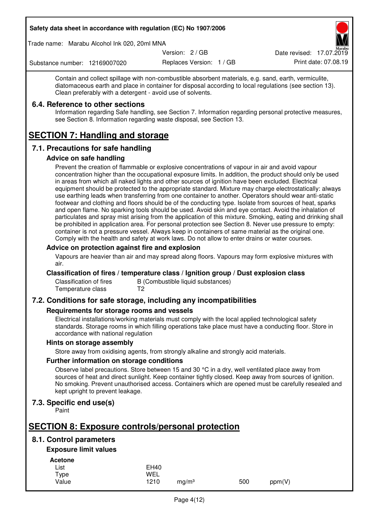Trade name: Marabu Alcohol Ink 020, 20ml MNA

Version: 2 / GB

Replaces Version: 1 / GB Print date: 07.08.19 Date revised: 17.07.2019

Substance number: 12169007020

Contain and collect spillage with non-combustible absorbent materials, e.g. sand, earth, vermiculite, diatomaceous earth and place in container for disposal according to local regulations (see section 13). Clean preferably with a detergent - avoid use of solvents.

## **6.4. Reference to other sections**

Information regarding Safe handling, see Section 7. Information regarding personal protective measures, see Section 8. Information regarding waste disposal, see Section 13.

# **SECTION 7: Handling and storage**

# **7.1. Precautions for safe handling**

## **Advice on safe handling**

Prevent the creation of flammable or explosive concentrations of vapour in air and avoid vapour concentration higher than the occupational exposure limits. In addition, the product should only be used in areas from which all naked lights and other sources of ignition have been excluded. Electrical equipment should be protected to the appropriate standard. Mixture may charge electrostatically: always use earthing leads when transferring from one container to another. Operators should wear anti-static footwear and clothing and floors should be of the conducting type. Isolate from sources of heat, sparks and open flame. No sparking tools should be used. Avoid skin and eye contact. Avoid the inhalation of particulates and spray mist arising from the application of this mixture. Smoking, eating and drinking shall be prohibited in application area. For personal protection see Section 8. Never use pressure to empty: container is not a pressure vessel. Always keep in containers of same material as the original one. Comply with the health and safety at work laws. Do not allow to enter drains or water courses.

## **Advice on protection against fire and explosion**

Vapours are heavier than air and may spread along floors. Vapours may form explosive mixtures with air.

## **Classification of fires / temperature class / Ignition group / Dust explosion class**

Classification of fires B (Combustible liquid substances)<br>Temperature class T2 Temperature class

# **7.2. Conditions for safe storage, including any incompatibilities**

## **Requirements for storage rooms and vessels**

Electrical installations/working materials must comply with the local applied technological safety standards. Storage rooms in which filling operations take place must have a conducting floor. Store in accordance with national regulation

## **Hints on storage assembly**

Store away from oxidising agents, from strongly alkaline and strongly acid materials.

## **Further information on storage conditions**

Observe label precautions. Store between 15 and 30 °C in a dry, well ventilated place away from sources of heat and direct sunlight. Keep container tightly closed. Keep away from sources of ignition. No smoking. Prevent unauthorised access. Containers which are opened must be carefully resealed and kept upright to prevent leakage.

# **7.3. Specific end use(s)**

Paint

# **SECTION 8: Exposure controls/personal protection**

# **8.1. Control parameters**

# **Exposure limit values**

**Acetone** 

| List  | <b>EH40</b> |                   |     |        |
|-------|-------------|-------------------|-----|--------|
| Type  | WEL         |                   |     |        |
| Value | 1210        | mg/m <sup>3</sup> | 500 | ppm(V) |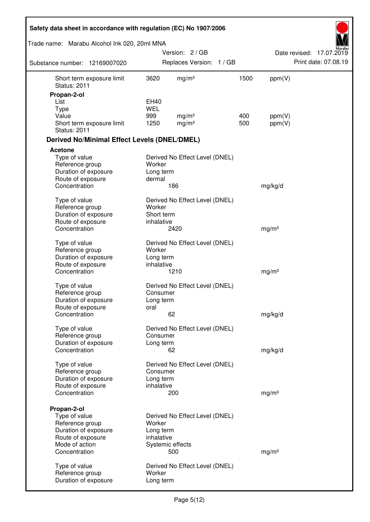| Safety data sheet in accordance with regulation (EC) No 1907/2006             |                                     |                                |      |                   |                          |
|-------------------------------------------------------------------------------|-------------------------------------|--------------------------------|------|-------------------|--------------------------|
| Trade name: Marabu Alcohol Ink 020, 20ml MNA                                  |                                     |                                |      |                   |                          |
|                                                                               |                                     | Version: 2 / GB                |      |                   | Date revised: 17.07.2019 |
| Substance number: 12169007020                                                 |                                     | Replaces Version: 1 / GB       |      |                   | Print date: 07.08.19     |
| Short term exposure limit<br><b>Status: 2011</b>                              | 3620                                | mg/m <sup>3</sup>              | 1500 | ppm(V)            |                          |
| Propan-2-ol                                                                   |                                     |                                |      |                   |                          |
| List                                                                          | EH40<br><b>WEL</b>                  |                                |      |                   |                          |
| <b>Type</b><br>Value                                                          | 999                                 | mg/m <sup>3</sup>              | 400  | ppm(V)            |                          |
| Short term exposure limit<br><b>Status: 2011</b>                              | 1250                                | mg/m <sup>3</sup>              | 500  | ppm(V)            |                          |
| <b>Derived No/Minimal Effect Levels (DNEL/DMEL)</b>                           |                                     |                                |      |                   |                          |
| <b>Acetone</b>                                                                |                                     |                                |      |                   |                          |
| Type of value<br>Reference group<br>Duration of exposure                      | Worker<br>Long term                 | Derived No Effect Level (DNEL) |      |                   |                          |
| Route of exposure<br>Concentration                                            | dermal                              | 186                            |      | mg/kg/d           |                          |
| Type of value<br>Reference group<br>Duration of exposure                      | Worker<br>Short term                | Derived No Effect Level (DNEL) |      |                   |                          |
| Route of exposure<br>Concentration                                            | inhalative                          | 2420                           |      | mg/m <sup>3</sup> |                          |
| Type of value<br>Reference group<br>Duration of exposure<br>Route of exposure | Worker<br>Long term<br>inhalative   | Derived No Effect Level (DNEL) |      |                   |                          |
| Concentration                                                                 |                                     | 1210                           |      | mg/m <sup>3</sup> |                          |
| Type of value<br>Reference group<br>Duration of exposure<br>Route of exposure | Consumer<br>Long term<br>oral       | Derived No Effect Level (DNEL) |      |                   |                          |
| Concentration                                                                 |                                     | 62                             |      | mg/kg/d           |                          |
| Type of value<br>Reference group<br>Duration of exposure                      | Consumer<br>Long term               | Derived No Effect Level (DNEL) |      |                   |                          |
| Concentration                                                                 |                                     | 62                             |      | mg/kg/d           |                          |
| Type of value<br>Reference group<br>Duration of exposure<br>Route of exposure | Consumer<br>Long term<br>inhalative | Derived No Effect Level (DNEL) |      |                   |                          |
| Concentration                                                                 |                                     | 200                            |      | mg/m <sup>3</sup> |                          |
| Propan-2-ol<br>Type of value                                                  |                                     | Derived No Effect Level (DNEL) |      |                   |                          |
| Reference group<br>Duration of exposure<br>Route of exposure                  | Worker<br>Long term<br>inhalative   |                                |      |                   |                          |
| Mode of action<br>Concentration                                               |                                     | Systemic effects<br>500        |      | mg/m <sup>3</sup> |                          |
| Type of value<br>Reference group<br>Duration of exposure                      | Worker<br>Long term                 | Derived No Effect Level (DNEL) |      |                   |                          |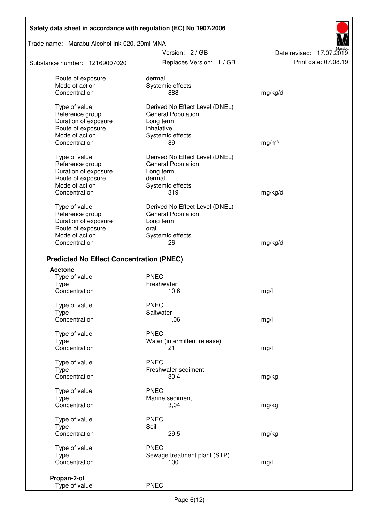Trade name: Marabu Alcohol Ink 020, 20ml MNA

Substance number: 12169007020

Version: 2 / GB Replaces Version: 1 / GB Print date: 07.08.19

Date revised: 17.07.2019

| Route of exposure<br>Mode of action<br>Concentration                                                             | dermal<br>Systemic effects<br>888                                                                                | mg/kg/d           |
|------------------------------------------------------------------------------------------------------------------|------------------------------------------------------------------------------------------------------------------|-------------------|
| Type of value<br>Reference group<br>Duration of exposure<br>Route of exposure<br>Mode of action<br>Concentration | Derived No Effect Level (DNEL)<br><b>General Population</b><br>Long term<br>inhalative<br>Systemic effects<br>89 | mg/m <sup>3</sup> |
| Type of value<br>Reference group<br>Duration of exposure<br>Route of exposure<br>Mode of action<br>Concentration | Derived No Effect Level (DNEL)<br><b>General Population</b><br>Long term<br>dermal<br>Systemic effects<br>319    | mg/kg/d           |
| Type of value<br>Reference group<br>Duration of exposure<br>Route of exposure<br>Mode of action                  | Derived No Effect Level (DNEL)<br><b>General Population</b><br>Long term<br>oral<br>Systemic effects             |                   |
| Concentration                                                                                                    | 26                                                                                                               | mg/kg/d           |
| <b>Predicted No Effect Concentration (PNEC)</b>                                                                  |                                                                                                                  |                   |
| Acetone                                                                                                          |                                                                                                                  |                   |
| Type of value                                                                                                    | <b>PNEC</b>                                                                                                      |                   |
| Type<br>Concentration                                                                                            | Freshwater<br>10,6                                                                                               | mg/l              |
|                                                                                                                  |                                                                                                                  |                   |
| Type of value                                                                                                    | <b>PNEC</b>                                                                                                      |                   |
| Type<br>Concentration                                                                                            | Saltwater<br>1,06                                                                                                | mg/l              |
|                                                                                                                  |                                                                                                                  |                   |
| Type of value                                                                                                    | <b>PNEC</b>                                                                                                      |                   |
| <b>Type</b><br>Concentration                                                                                     | Water (intermittent release)<br>21                                                                               | mg/l              |
|                                                                                                                  |                                                                                                                  |                   |
| Type of value<br>Type                                                                                            | <b>PNEC</b><br>Freshwater sediment                                                                               |                   |
| Concentration                                                                                                    | 30,4                                                                                                             | mg/kg             |
|                                                                                                                  |                                                                                                                  |                   |
| Type of value<br>Type                                                                                            | <b>PNEC</b><br>Marine sediment                                                                                   |                   |
| Concentration                                                                                                    | 3,04                                                                                                             | mg/kg             |
| Type of value                                                                                                    | <b>PNEC</b>                                                                                                      |                   |
| <b>Type</b>                                                                                                      | Soil                                                                                                             |                   |
| Concentration                                                                                                    | 29,5                                                                                                             | mg/kg             |
| Type of value                                                                                                    | <b>PNEC</b>                                                                                                      |                   |
| Type                                                                                                             | Sewage treatment plant (STP)                                                                                     |                   |
| Concentration                                                                                                    | 100                                                                                                              | mg/l              |
| Propan-2-ol                                                                                                      |                                                                                                                  |                   |
| Type of value                                                                                                    | <b>PNEC</b>                                                                                                      |                   |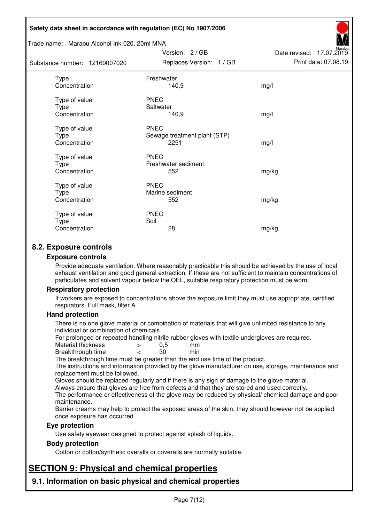#### Trade name: Marabu Alcohol Ink 020, 20ml MNA

| Substance number: 12169007020          | Replaces Version: 1 / GB                            | Print date: 07.08.19 |
|----------------------------------------|-----------------------------------------------------|----------------------|
| Type<br>Concentration                  | Freshwater<br>140,9                                 | mg/l                 |
| Type of value<br>Type<br>Concentration | <b>PNEC</b><br>Saltwater<br>140,9                   | mg/l                 |
| Type of value<br>Type<br>Concentration | <b>PNEC</b><br>Sewage treatment plant (STP)<br>2251 | mg/l                 |
| Type of value<br>Type<br>Concentration | <b>PNEC</b><br>Freshwater sediment<br>552           | mg/kg                |
| Type of value<br>Type<br>Concentration | <b>PNEC</b><br>Marine sediment<br>552               | mg/kg                |
| Type of value<br>Type<br>Concentration | <b>PNEC</b><br>Soil<br>28                           | mg/kg                |

Version: 2 / GB

Date revised: 17.07.2019

# **8.2. Exposure controls**

#### **Exposure controls**

Provide adequate ventilation. Where reasonably practicable this should be achieved by the use of local exhaust ventilation and good general extraction. If these are not sufficient to maintain concentrations of particulates and solvent vapour below the OEL, suitable respiratory protection must be worn.

## **Respiratory protection**

If workers are exposed to concentrations above the exposure limit they must use appropriate, certified respirators. Full mask, filter A

#### **Hand protection**

There is no one glove material or combination of materials that will give unlimited resistance to any individual or combination of chemicals.

For prolonged or repeated handling nitrile rubber gloves with textile undergloves are required.<br>Material thickness  $\geq 0.5$  mm

- Material thickness  $\begin{array}{ccc} 0.5 \\ -8.5 \end{array}$  Material thickness  $\begin{array}{ccc} 0.5 \\ -8.5 \end{array}$
- Breakthrough time < 30 min

The breakthrough time must be greater than the end use time of the product.

The instructions and information provided by the glove manufacturer on use, storage, maintenance and replacement must be followed.

Gloves should be replaced regularly and if there is any sign of damage to the glove material.

Always ensure that gloves are free from defects and that they are stored and used correctly.

The performance or effectiveness of the glove may be reduced by physical/ chemical damage and poor maintenance.

Barrier creams may help to protect the exposed areas of the skin, they should however not be applied once exposure has occurred.

## **Eye protection**

Use safety eyewear designed to protect against splash of liquids.

## **Body protection**

Cotton or cotton/synthetic overalls or coveralls are normally suitable.

# **SECTION 9: Physical and chemical properties**

**9.1. Information on basic physical and chemical properties**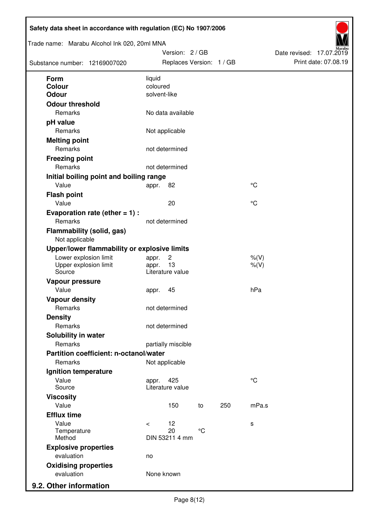| Trade name: Marabu Alcohol Ink 020, 20ml MNA<br>Substance number: 12169007020 | Version: 2 / GB<br>Replaces Version: 1 / GB |                 |             | Date revised: 17.07.2019 | Print date: 07.08.19 |
|-------------------------------------------------------------------------------|---------------------------------------------|-----------------|-------------|--------------------------|----------------------|
| Form                                                                          | liquid                                      |                 |             |                          |                      |
| <b>Colour</b>                                                                 | coloured                                    |                 |             |                          |                      |
| <b>Odour</b>                                                                  | solvent-like                                |                 |             |                          |                      |
| <b>Odour threshold</b>                                                        |                                             |                 |             |                          |                      |
| Remarks                                                                       | No data available                           |                 |             |                          |                      |
| pH value                                                                      |                                             |                 |             |                          |                      |
| Remarks                                                                       | Not applicable                              |                 |             |                          |                      |
| <b>Melting point</b>                                                          |                                             |                 |             |                          |                      |
| Remarks                                                                       | not determined                              |                 |             |                          |                      |
| <b>Freezing point</b>                                                         |                                             |                 |             |                          |                      |
| Remarks                                                                       | not determined                              |                 |             |                          |                      |
| Initial boiling point and boiling range                                       |                                             |                 |             |                          |                      |
| Value                                                                         | 82<br>appr.                                 |                 | $^{\circ}C$ |                          |                      |
| <b>Flash point</b>                                                            |                                             |                 |             |                          |                      |
| Value                                                                         | 20                                          |                 | $^{\circ}C$ |                          |                      |
| Evaporation rate (ether $= 1$ ) :                                             |                                             |                 |             |                          |                      |
| Remarks                                                                       | not determined                              |                 |             |                          |                      |
| <b>Flammability (solid, gas)</b><br>Not applicable                            |                                             |                 |             |                          |                      |
| Upper/lower flammability or explosive limits                                  |                                             |                 |             |                          |                      |
| Lower explosion limit                                                         | $\overline{c}$<br>appr.                     |                 | $%$ (V)     |                          |                      |
| Upper explosion limit<br>Source                                               | 13<br>appr.<br>Literature value             |                 | $%$ (V)     |                          |                      |
| Vapour pressure                                                               |                                             |                 |             |                          |                      |
| Value                                                                         | 45<br>appr.                                 |                 | hPa         |                          |                      |
| <b>Vapour density</b>                                                         |                                             |                 |             |                          |                      |
| Remarks                                                                       | not determined                              |                 |             |                          |                      |
| <b>Density</b>                                                                |                                             |                 |             |                          |                      |
| Remarks                                                                       | not determined                              |                 |             |                          |                      |
| Solubility in water                                                           |                                             |                 |             |                          |                      |
| Remarks                                                                       | partially miscible                          |                 |             |                          |                      |
| Partition coefficient: n-octanol/water                                        |                                             |                 |             |                          |                      |
| Remarks                                                                       | Not applicable                              |                 |             |                          |                      |
| Ignition temperature                                                          |                                             |                 |             |                          |                      |
| Value<br>Source                                                               | 425<br>appr.<br>Literature value            |                 | $^{\circ}C$ |                          |                      |
| <b>Viscosity</b>                                                              |                                             |                 |             |                          |                      |
| Value                                                                         | 150                                         | 250<br>to       | mPa.s       |                          |                      |
| <b>Efflux time</b>                                                            |                                             |                 |             |                          |                      |
| Value                                                                         | 12<br>$\,<\,$                               |                 | s           |                          |                      |
| Temperature                                                                   | 20                                          | $\rm ^{\circ}C$ |             |                          |                      |
| Method                                                                        | DIN 53211 4 mm                              |                 |             |                          |                      |
| <b>Explosive properties</b>                                                   |                                             |                 |             |                          |                      |
| evaluation                                                                    | no                                          |                 |             |                          |                      |
| <b>Oxidising properties</b>                                                   |                                             |                 |             |                          |                      |
| evaluation                                                                    | None known                                  |                 |             |                          |                      |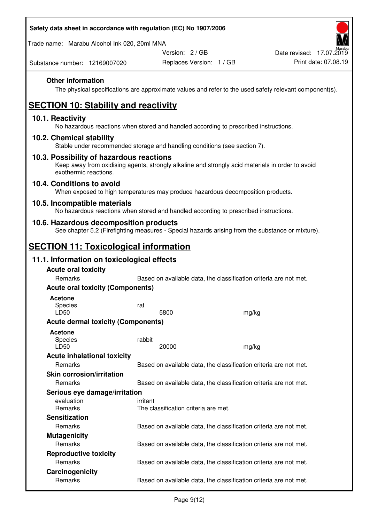| Safety data sheet in accordance with regulation (EC) No 1907/2006 |
|-------------------------------------------------------------------|
|-------------------------------------------------------------------|

Trade name: Marabu Alcohol Ink 020, 20ml MNA

Version: 2 / GB

Substance number: 12169007020

## **Other information**

The physical specifications are approximate values and refer to the used safety relevant component(s).

# **SECTION 10: Stability and reactivity**

## **10.1. Reactivity**

No hazardous reactions when stored and handled according to prescribed instructions.

## **10.2. Chemical stability**

Stable under recommended storage and handling conditions (see section 7).

## **10.3. Possibility of hazardous reactions**

Keep away from oxidising agents, strongly alkaline and strongly acid materials in order to avoid exothermic reactions.

## **10.4. Conditions to avoid**

When exposed to high temperatures may produce hazardous decomposition products.

## **10.5. Incompatible materials**

No hazardous reactions when stored and handled according to prescribed instructions.

## **10.6. Hazardous decomposition products**

See chapter 5.2 (Firefighting measures - Special hazards arising from the substance or mixture).

# **SECTION 11: Toxicological information**

## **11.1. Information on toxicological effects**

| <b>Acute oral toxicity</b>                |                                                                   |       |  |
|-------------------------------------------|-------------------------------------------------------------------|-------|--|
| Remarks                                   | Based on available data, the classification criteria are not met. |       |  |
| <b>Acute oral toxicity (Components)</b>   |                                                                   |       |  |
| <b>Acetone</b>                            |                                                                   |       |  |
| <b>Species</b>                            | rat                                                               |       |  |
| LD50                                      | 5800                                                              | mg/kg |  |
| <b>Acute dermal toxicity (Components)</b> |                                                                   |       |  |
| <b>Acetone</b>                            |                                                                   |       |  |
| Species                                   | rabbit                                                            |       |  |
| LD50                                      | 20000                                                             | mg/kg |  |
| <b>Acute inhalational toxicity</b>        |                                                                   |       |  |
| Remarks                                   | Based on available data, the classification criteria are not met. |       |  |
| <b>Skin corrosion/irritation</b>          |                                                                   |       |  |
| Remarks                                   | Based on available data, the classification criteria are not met. |       |  |
| Serious eye damage/irritation             |                                                                   |       |  |
| evaluation                                | irritant                                                          |       |  |
| <b>Remarks</b>                            | The classification criteria are met.                              |       |  |
| <b>Sensitization</b>                      |                                                                   |       |  |
| <b>Remarks</b>                            | Based on available data, the classification criteria are not met. |       |  |
| <b>Mutagenicity</b>                       |                                                                   |       |  |
| Remarks                                   | Based on available data, the classification criteria are not met. |       |  |
| <b>Reproductive toxicity</b>              |                                                                   |       |  |
| Remarks                                   | Based on available data, the classification criteria are not met. |       |  |
| Carcinogenicity                           |                                                                   |       |  |
| Remarks                                   | Based on available data, the classification criteria are not met. |       |  |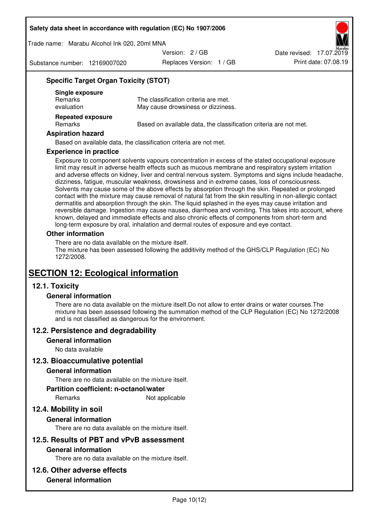Trade name: Marabu Alcohol Ink 020, 20ml MNA

Version: 2 / GB

Substance number: 12169007020

Replaces Version: 1 / GB Print date: 07.08.19 Date revised: 17.07.2019

# **Specific Target Organ Toxicity (STOT)**

| Single exposure<br><b>Remarks</b><br>evaluation | The classification criteria are met.<br>May cause drowsiness or dizziness. |
|-------------------------------------------------|----------------------------------------------------------------------------|
| <b>Repeated exposure</b><br><b>Remarks</b>      | Based on available data, the classification criteria are not met.          |

## **Aspiration hazard**

Based on available data, the classification criteria are not met.

#### **Experience in practice**

Exposure to component solvents vapours concentration in excess of the stated occupational exposure limit may result in adverse health effects such as mucous membrane and respiratory system irritation and adverse effects on kidney, liver and central nervous system. Symptoms and signs include headache, dizziness, fatigue, muscular weakness, drowsiness and in extreme cases, loss of consciousness. Solvents may cause some of the above effects by absorption through the skin. Repeated or prolonged contact with the mixture may cause removal of natural fat from the skin resulting in non-allergic contact dermatitis and absorption through the skin. The liquid splashed in the eyes may cause irritation and reversible damage. Ingestion may cause nausea, diarrhoea and vomiting. This takes into account, where known, delayed and immediate effects and also chronic effects of components from short-term and long-term exposure by oral, inhalation and dermal routes of exposure and eye contact.

## **Other information**

There are no data available on the mixture itself. The mixture has been assessed following the additivity method of the GHS/CLP Regulation (EC) No 1272/2008.

# **SECTION 12: Ecological information**

# **12.1. Toxicity**

## **General information**

There are no data available on the mixture itself.Do not allow to enter drains or water courses.The mixture has been assessed following the summation method of the CLP Regulation (EC) No 1272/2008 and is not classified as dangerous for the environment.

## **12.2. Persistence and degradability**

#### **General information**

No data available

## **12.3. Bioaccumulative potential**

## **General information**

There are no data available on the mixture itself.

#### **Partition coefficient: n-octanol/water**

Remarks Not applicable

# **12.4. Mobility in soil**

## **General information**

There are no data available on the mixture itself.

## **12.5. Results of PBT and vPvB assessment**

## **General information**

There are no data available on the mixture itself.

## **12.6. Other adverse effects**

## **General information**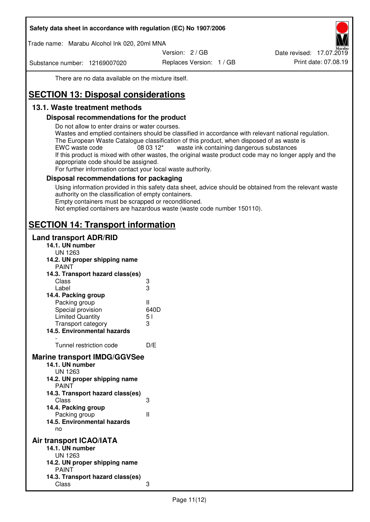Trade name: Marabu Alcohol Ink 020, 20ml MNA

Version: 2 / GB

Substance number: 12169007020

Replaces Version: 1 / GB Print date: 07.08.19 Date revised: 17.07.2019

There are no data available on the mixture itself.

# **SECTION 13: Disposal considerations**

# **13.1. Waste treatment methods**

## **Disposal recommendations for the product**

Do not allow to enter drains or water courses.

Wastes and emptied containers should be classified in accordance with relevant national regulation. The European Waste Catalogue classification of this product, when disposed of as waste is EWC waste code  $08\,03\,12^*$  waste ink containing dangerous substances If this product is mixed with other wastes, the original waste product code may no longer apply and the appropriate code should be assigned.

For further information contact your local waste authority.

## **Disposal recommendations for packaging**

Using information provided in this safety data sheet, advice should be obtained from the relevant waste authority on the classification of empty containers. Empty containers must be scrapped or reconditioned.

Not emptied containers are hazardous waste (waste code number 150110).

# **SECTION 14: Transport information**

## **Land transport ADR/RID**

| 14.1. UN number<br><b>UN 1263</b>                                                                                                                                                                                                            |                   |
|----------------------------------------------------------------------------------------------------------------------------------------------------------------------------------------------------------------------------------------------|-------------------|
| 14.2. UN proper shipping name                                                                                                                                                                                                                |                   |
| <b>PAINT</b>                                                                                                                                                                                                                                 |                   |
| 14.3. Transport hazard class(es)                                                                                                                                                                                                             |                   |
| Class                                                                                                                                                                                                                                        |                   |
| Label                                                                                                                                                                                                                                        | ვ<br>ვ            |
| 14.4. Packing group                                                                                                                                                                                                                          |                   |
| Packing group                                                                                                                                                                                                                                | Ш                 |
| Special provision                                                                                                                                                                                                                            | 640D              |
| <b>Limited Quantity</b>                                                                                                                                                                                                                      | 5 <sub>1</sub>    |
| Transport category                                                                                                                                                                                                                           | 3                 |
| 14.5. Environmental hazards                                                                                                                                                                                                                  |                   |
| Tunnel restriction code                                                                                                                                                                                                                      | D/E               |
|                                                                                                                                                                                                                                              |                   |
| <b>Marine transport IMDG/GGVSee</b><br>14.1. UN number<br>UN 1263<br>14.2. UN proper shipping name<br><b>PAINT</b><br>14.3. Transport hazard class(es)<br>Class<br>14.4. Packing group<br>Packing group<br>14.5. Environmental hazards<br>no | 3<br>$\mathbf{I}$ |
| Air transport ICAO/IATA                                                                                                                                                                                                                      |                   |
| 14.1. UN number                                                                                                                                                                                                                              |                   |
| UN 1263                                                                                                                                                                                                                                      |                   |
| 14.2. UN proper shipping name<br><b>PAINT</b>                                                                                                                                                                                                |                   |
| 14.3. Transport hazard class(es)                                                                                                                                                                                                             |                   |
| Class                                                                                                                                                                                                                                        | 3                 |
|                                                                                                                                                                                                                                              |                   |